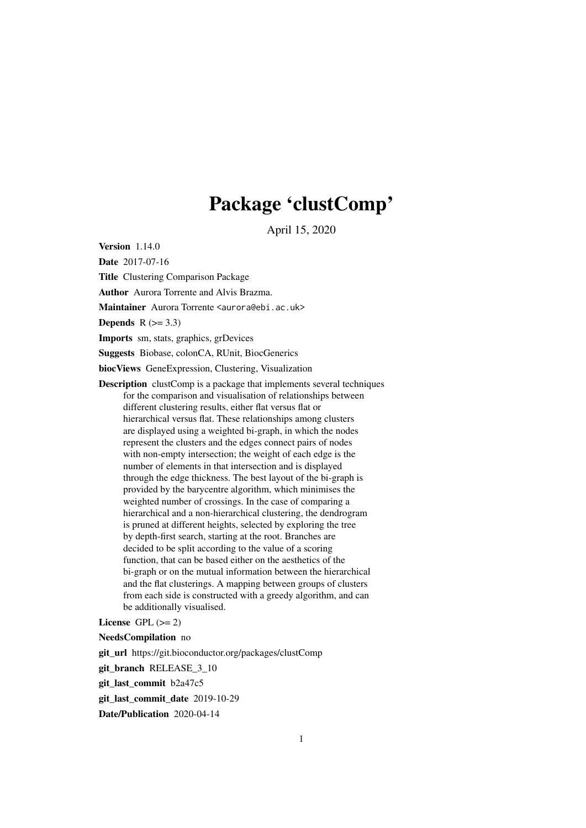# Package 'clustComp'

April 15, 2020

Version 1.14.0

Date 2017-07-16

Title Clustering Comparison Package

Author Aurora Torrente and Alvis Brazma.

Maintainer Aurora Torrente <aurora@ebi.ac.uk>

Depends  $R$  ( $> = 3.3$ )

Imports sm, stats, graphics, grDevices

Suggests Biobase, colonCA, RUnit, BiocGenerics

biocViews GeneExpression, Clustering, Visualization

Description clustComp is a package that implements several techniques for the comparison and visualisation of relationships between different clustering results, either flat versus flat or hierarchical versus flat. These relationships among clusters are displayed using a weighted bi-graph, in which the nodes represent the clusters and the edges connect pairs of nodes with non-empty intersection; the weight of each edge is the number of elements in that intersection and is displayed through the edge thickness. The best layout of the bi-graph is provided by the barycentre algorithm, which minimises the weighted number of crossings. In the case of comparing a hierarchical and a non-hierarchical clustering, the dendrogram is pruned at different heights, selected by exploring the tree by depth-first search, starting at the root. Branches are decided to be split according to the value of a scoring function, that can be based either on the aesthetics of the bi-graph or on the mutual information between the hierarchical and the flat clusterings. A mapping between groups of clusters from each side is constructed with a greedy algorithm, and can be additionally visualised.

License GPL  $(>= 2)$ 

NeedsCompilation no

git\_url https://git.bioconductor.org/packages/clustComp

git\_branch RELEASE\_3\_10

git\_last\_commit b2a47c5

git\_last\_commit\_date 2019-10-29

Date/Publication 2020-04-14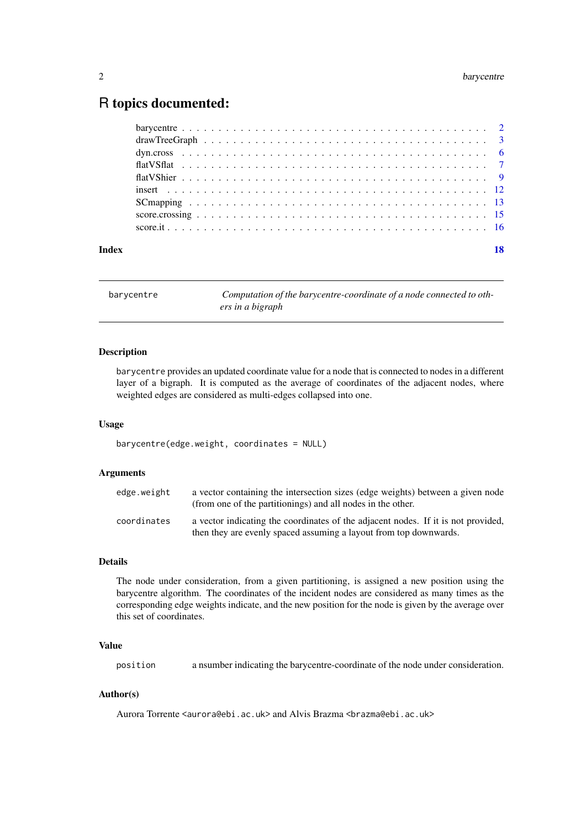# <span id="page-1-0"></span>R topics documented:

| Index |  |
|-------|--|
|       |  |
|       |  |
|       |  |
|       |  |
|       |  |
|       |  |
|       |  |
|       |  |
|       |  |

barycentre *Computation of the barycentre-coordinate of a node connected to others in a bigraph*

## Description

barycentre provides an updated coordinate value for a node that is connected to nodes in a different layer of a bigraph. It is computed as the average of coordinates of the adjacent nodes, where weighted edges are considered as multi-edges collapsed into one.

#### Usage

barycentre(edge.weight, coordinates = NULL)

# Arguments

| edge.weight | a vector containing the intersection sizes (edge weights) between a given node<br>(from one of the partitionings) and all nodes in the other.          |
|-------------|--------------------------------------------------------------------------------------------------------------------------------------------------------|
| coordinates | a vector indicating the coordinates of the adjacent nodes. If it is not provided,<br>then they are evenly spaced assuming a layout from top downwards. |

# Details

The node under consideration, from a given partitioning, is assigned a new position using the barycentre algorithm. The coordinates of the incident nodes are considered as many times as the corresponding edge weights indicate, and the new position for the node is given by the average over this set of coordinates.

# Value

position a nsumber indicating the barycentre-coordinate of the node under consideration.

# Author(s)

Aurora Torrente <aurora@ebi.ac.uk> and Alvis Brazma <br/>brazma@ebi.ac.uk>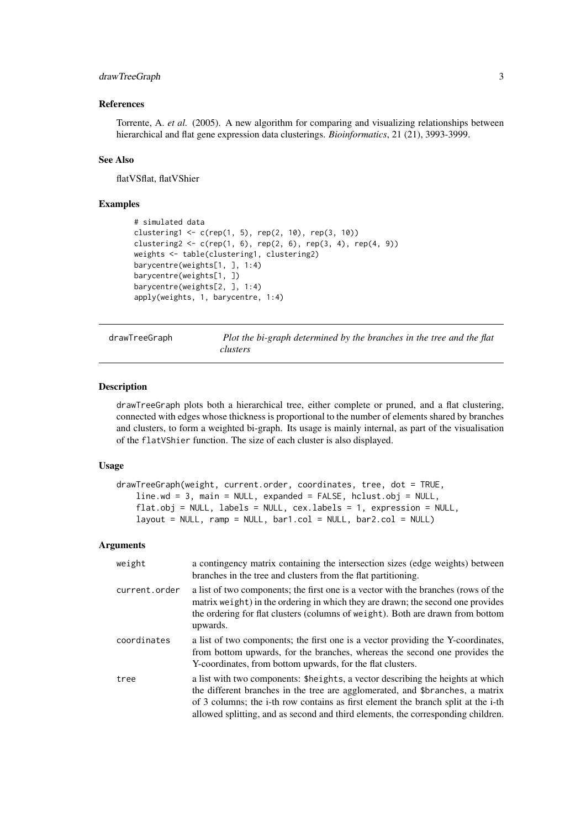#### <span id="page-2-0"></span>drawTreeGraph 3

#### References

Torrente, A. *et al.* (2005). A new algorithm for comparing and visualizing relationships between hierarchical and flat gene expression data clusterings. *Bioinformatics*, 21 (21), 3993-3999.

# See Also

flatVSflat, flatVShier

#### Examples

```
# simulated data
clustering1 <- c(rep(1, 5), rep(2, 10), rep(3, 10))
clustering2 <- c(rep(1, 6), rep(2, 6), rep(3, 4), rep(4, 9))
weights <- table(clustering1, clustering2)
barycentre(weights[1, ], 1:4)
barycentre(weights[1, ])
barycentre(weights[2, ], 1:4)
apply(weights, 1, barycentre, 1:4)
```
drawTreeGraph *Plot the bi-graph determined by the branches in the tree and the flat clusters*

# Description

drawTreeGraph plots both a hierarchical tree, either complete or pruned, and a flat clustering, connected with edges whose thickness is proportional to the number of elements shared by branches and clusters, to form a weighted bi-graph. Its usage is mainly internal, as part of the visualisation of the flatVShier function. The size of each cluster is also displayed.

#### Usage

```
drawTreeGraph(weight, current.order, coordinates, tree, dot = TRUE,
    line.wd = 3, main = NULL, expanded = FALSE, hclust.obj = NULL,
    flat.obj = NULL, labels = NULL, cex.labels = 1, expression = NULL,
    layout = NULL, ramp = NULL, bar1.col = NULL, bar2.col = NULL)
```

| weight        | a contingency matrix containing the intersection sizes (edge weights) between<br>branches in the tree and clusters from the flat partitioning.                                                                                                                                                                                            |
|---------------|-------------------------------------------------------------------------------------------------------------------------------------------------------------------------------------------------------------------------------------------------------------------------------------------------------------------------------------------|
| current.order | a list of two components; the first one is a vector with the branches (rows of the<br>matrix weight) in the ordering in which they are drawn; the second one provides<br>the ordering for flat clusters (columns of weight). Both are drawn from bottom<br>upwards.                                                                       |
| coordinates   | a list of two components; the first one is a vector providing the Y-coordinates,<br>from bottom upwards, for the branches, whereas the second one provides the<br>Y-coordinates, from bottom upwards, for the flat clusters.                                                                                                              |
| tree          | a list with two components: \$heights, a vector describing the heights at which<br>the different branches in the tree are agglomerated, and \$branches, a matrix<br>of 3 columns; the i-th row contains as first element the branch split at the i-th<br>allowed splitting, and as second and third elements, the corresponding children. |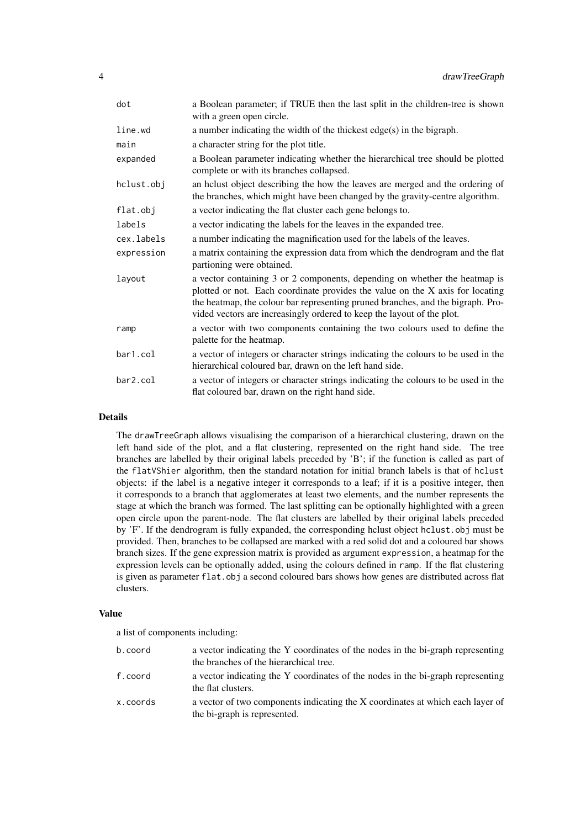| dot        | a Boolean parameter; if TRUE then the last split in the children-tree is shown<br>with a green open circle.                                                                                                                                                                                                              |
|------------|--------------------------------------------------------------------------------------------------------------------------------------------------------------------------------------------------------------------------------------------------------------------------------------------------------------------------|
| line.wd    | a number indicating the width of the thickest edge(s) in the bigraph.                                                                                                                                                                                                                                                    |
| main       | a character string for the plot title.                                                                                                                                                                                                                                                                                   |
| expanded   | a Boolean parameter indicating whether the hierarchical tree should be plotted<br>complete or with its branches collapsed.                                                                                                                                                                                               |
| hclust.obj | an helust object describing the how the leaves are merged and the ordering of<br>the branches, which might have been changed by the gravity-centre algorithm.                                                                                                                                                            |
| flat.obj   | a vector indicating the flat cluster each gene belongs to.                                                                                                                                                                                                                                                               |
| labels     | a vector indicating the labels for the leaves in the expanded tree.                                                                                                                                                                                                                                                      |
| cex.labels | a number indicating the magnification used for the labels of the leaves.                                                                                                                                                                                                                                                 |
| expression | a matrix containing the expression data from which the dendrogram and the flat<br>partioning were obtained.                                                                                                                                                                                                              |
| layout     | a vector containing 3 or 2 components, depending on whether the heatmap is<br>plotted or not. Each coordinate provides the value on the X axis for locating<br>the heatmap, the colour bar representing pruned branches, and the bigraph. Pro-<br>vided vectors are increasingly ordered to keep the layout of the plot. |
| ramp       | a vector with two components containing the two colours used to define the<br>palette for the heatmap.                                                                                                                                                                                                                   |
| bar1.col   | a vector of integers or character strings indicating the colours to be used in the<br>hierarchical coloured bar, drawn on the left hand side.                                                                                                                                                                            |
| bar2.col   | a vector of integers or character strings indicating the colours to be used in the<br>flat coloured bar, drawn on the right hand side.                                                                                                                                                                                   |

# Details

The drawTreeGraph allows visualising the comparison of a hierarchical clustering, drawn on the left hand side of the plot, and a flat clustering, represented on the right hand side. The tree branches are labelled by their original labels preceded by 'B'; if the function is called as part of the flatVShier algorithm, then the standard notation for initial branch labels is that of hclust objects: if the label is a negative integer it corresponds to a leaf; if it is a positive integer, then it corresponds to a branch that agglomerates at least two elements, and the number represents the stage at which the branch was formed. The last splitting can be optionally highlighted with a green open circle upon the parent-node. The flat clusters are labelled by their original labels preceded by 'F'. If the dendrogram is fully expanded, the corresponding hclust object hclust.obj must be provided. Then, branches to be collapsed are marked with a red solid dot and a coloured bar shows branch sizes. If the gene expression matrix is provided as argument expression, a heatmap for the expression levels can be optionally added, using the colours defined in ramp. If the flat clustering is given as parameter flat.obj a second coloured bars shows how genes are distributed across flat clusters.

#### Value

a list of components including:

| b.coord  | a vector indicating the Y coordinates of the nodes in the bi-graph representing<br>the branches of the hierarchical tree. |
|----------|---------------------------------------------------------------------------------------------------------------------------|
| f.coord  | a vector indicating the Y coordinates of the nodes in the bi-graph representing<br>the flat clusters.                     |
| x.coords | a vector of two components indicating the X coordinates at which each layer of<br>the bi-graph is represented.            |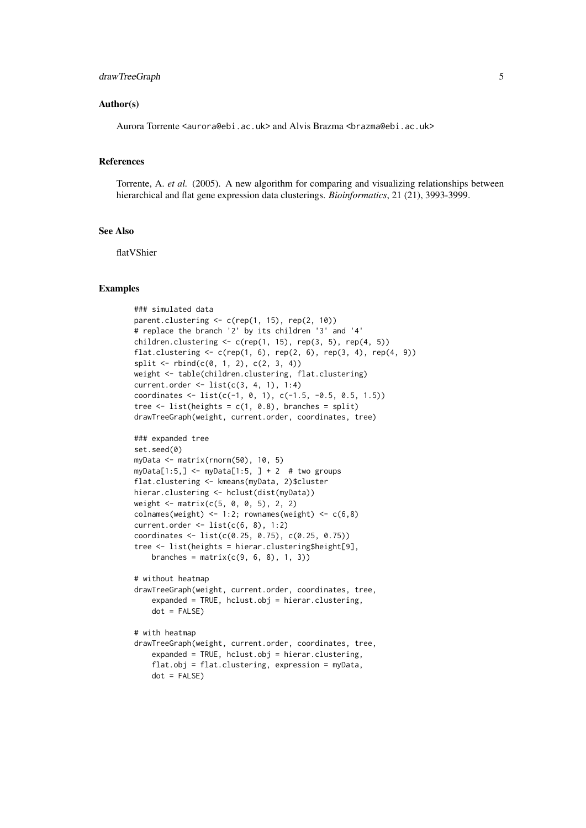#### drawTreeGraph 5

#### Author(s)

Aurora Torrente <aurora@ebi.ac.uk> and Alvis Brazma <br/> <br/>brazma@ebi.ac.uk>

#### References

Torrente, A. *et al.* (2005). A new algorithm for comparing and visualizing relationships between hierarchical and flat gene expression data clusterings. *Bioinformatics*, 21 (21), 3993-3999.

# See Also

flatVShier

#### Examples

```
### simulated data
parent.clustering \leq c (rep(1, 15), rep(2, 10))
# replace the branch '2' by its children '3' and '4'
children.clustering \leq c (rep(1, 15), rep(3, 5), rep(4, 5))
flat.clustering \leq c (rep(1, 6), rep(2, 6), rep(3, 4), rep(4, 9))
split \leftarrow \text{rbind}(c(0, 1, 2), c(2, 3, 4))weight <- table(children.clustering, flat.clustering)
current.order <- list(c(3, 4, 1), 1:4)
coordinates <- list(c(-1, 0, 1), c(-1.5, -0.5, 0.5, 1.5))
tree \le list(heights = c(1, 0.8), branches = split)
drawTreeGraph(weight, current.order, coordinates, tree)
### expanded tree
set.seed(0)
myData <- matrix(rnorm(50), 10, 5)
myData[1:5,] <- myData[1:5, ] + 2 # two groups
flat.clustering <- kmeans(myData, 2)$cluster
hierar.clustering <- hclust(dist(myData))
weight <- matrix(c(5, 0, 0, 5), 2, 2)
colnames(weight) <- 1:2; rownames(weight) <- c(6,8)current.order <- list(c(6, 8), 1:2)
coordinates <- list(c(0.25, 0.75), c(0.25, 0.75))
tree <- list(heights = hierar.clustering$height[9],
    branches = matrix(c(9, 6, 8), 1, 3))# without heatmap
drawTreeGraph(weight, current.order, coordinates, tree,
    expanded = TRUE, hclust.obj = hierar.clustering,
    dot = FALSE)
# with heatmap
drawTreeGraph(weight, current.order, coordinates, tree,
    expanded = TRUE, hclust.obj = hierar.clustering,
    flat.obj = flat.clustering, expression = myData,
    dot = FALSE)
```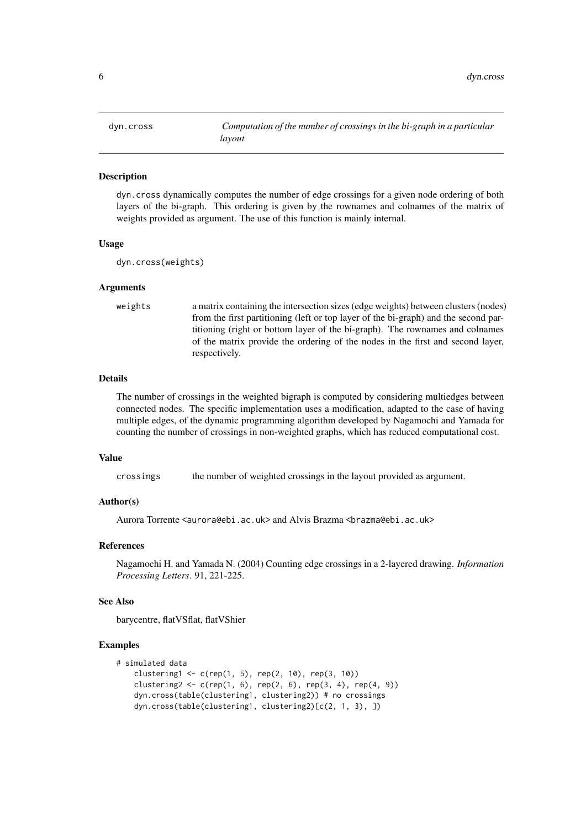<span id="page-5-0"></span>

# Description

dyn.cross dynamically computes the number of edge crossings for a given node ordering of both layers of the bi-graph. This ordering is given by the rownames and colnames of the matrix of weights provided as argument. The use of this function is mainly internal.

#### Usage

dyn.cross(weights)

#### Arguments

weights a matrix containing the intersection sizes (edge weights) between clusters (nodes) from the first partitioning (left or top layer of the bi-graph) and the second partitioning (right or bottom layer of the bi-graph). The rownames and colnames of the matrix provide the ordering of the nodes in the first and second layer, respectively.

#### Details

The number of crossings in the weighted bigraph is computed by considering multiedges between connected nodes. The specific implementation uses a modification, adapted to the case of having multiple edges, of the dynamic programming algorithm developed by Nagamochi and Yamada for counting the number of crossings in non-weighted graphs, which has reduced computational cost.

#### Value

crossings the number of weighted crossings in the layout provided as argument.

#### Author(s)

Aurora Torrente <aurora@ebi.ac.uk> and Alvis Brazma <br/> <br/>brazma@ebi.ac.uk>

#### References

Nagamochi H. and Yamada N. (2004) Counting edge crossings in a 2-layered drawing. *Information Processing Letters*. 91, 221-225.

#### See Also

barycentre, flatVSflat, flatVShier

#### Examples

```
# simulated data
   clustering1 <- c(rep(1, 5), rep(2, 10), rep(3, 10))
   clustering2 <- c(rep(1, 6), rep(2, 6), rep(3, 4), rep(4, 9))
   dyn.cross(table(clustering1, clustering2)) # no crossings
   dyn.cross(table(clustering1, clustering2)[c(2, 1, 3), ])
```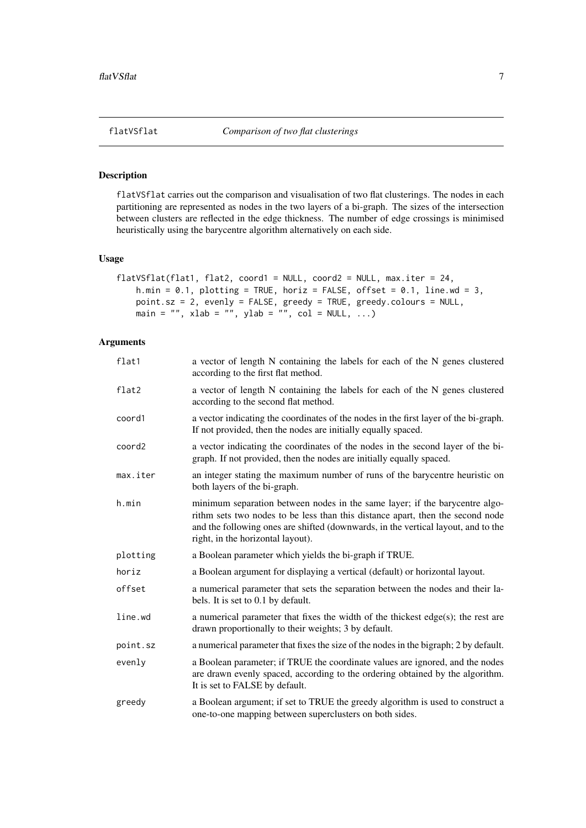#### <span id="page-6-0"></span>Description

flatVSflat carries out the comparison and visualisation of two flat clusterings. The nodes in each partitioning are represented as nodes in the two layers of a bi-graph. The sizes of the intersection between clusters are reflected in the edge thickness. The number of edge crossings is minimised heuristically using the barycentre algorithm alternatively on each side.

# Usage

```
flatVSflat(flat1, flat2, coord1 = NULL, coord2 = NULL, max.iter = 24,
   h.min = 0.1, plotting = TRUE, horiz = FALSE, offset = 0.1, line.wd = 3,
    point.sz = 2, evenly = FALSE, greedy = TRUE, greedy.colours = NULL,
    main = "", xlab = "", ylab = "", col = NULL, ...
```

| flat1    | a vector of length N containing the labels for each of the N genes clustered<br>according to the first flat method.                                                                                                                                                                     |
|----------|-----------------------------------------------------------------------------------------------------------------------------------------------------------------------------------------------------------------------------------------------------------------------------------------|
| flat2    | a vector of length N containing the labels for each of the N genes clustered<br>according to the second flat method.                                                                                                                                                                    |
| coord1   | a vector indicating the coordinates of the nodes in the first layer of the bi-graph.<br>If not provided, then the nodes are initially equally spaced.                                                                                                                                   |
| coord2   | a vector indicating the coordinates of the nodes in the second layer of the bi-<br>graph. If not provided, then the nodes are initially equally spaced.                                                                                                                                 |
| max.iter | an integer stating the maximum number of runs of the barycentre heuristic on<br>both layers of the bi-graph.                                                                                                                                                                            |
| h.min    | minimum separation between nodes in the same layer; if the barycentre algo-<br>rithm sets two nodes to be less than this distance apart, then the second node<br>and the following ones are shifted (downwards, in the vertical layout, and to the<br>right, in the horizontal layout). |
| plotting | a Boolean parameter which yields the bi-graph if TRUE.                                                                                                                                                                                                                                  |
| horiz    | a Boolean argument for displaying a vertical (default) or horizontal layout.                                                                                                                                                                                                            |
| offset   | a numerical parameter that sets the separation between the nodes and their la-<br>bels. It is set to 0.1 by default.                                                                                                                                                                    |
| line.wd  | a numerical parameter that fixes the width of the thickest $edge(s)$ ; the rest are<br>drawn proportionally to their weights; 3 by default.                                                                                                                                             |
| point.sz | a numerical parameter that fixes the size of the nodes in the bigraph; 2 by default.                                                                                                                                                                                                    |
| evenly   | a Boolean parameter; if TRUE the coordinate values are ignored, and the nodes<br>are drawn evenly spaced, according to the ordering obtained by the algorithm.<br>It is set to FALSE by default.                                                                                        |
| greedy   | a Boolean argument; if set to TRUE the greedy algorithm is used to construct a<br>one-to-one mapping between superclusters on both sides.                                                                                                                                               |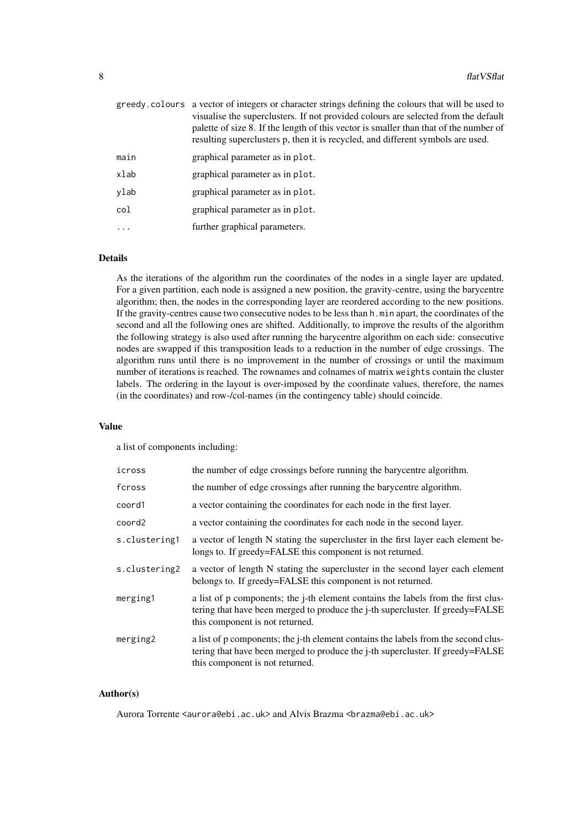|          | greedy colours a vector of integers or character strings defining the colours that will be used to<br>visualise the superclusters. If not provided colours are selected from the default<br>palette of size 8. If the length of this vector is smaller than that of the number of<br>resulting superclusters p, then it is recycled, and different symbols are used. |
|----------|----------------------------------------------------------------------------------------------------------------------------------------------------------------------------------------------------------------------------------------------------------------------------------------------------------------------------------------------------------------------|
| main     | graphical parameter as in plot.                                                                                                                                                                                                                                                                                                                                      |
| xlab     | graphical parameter as in plot.                                                                                                                                                                                                                                                                                                                                      |
| ylab     | graphical parameter as in plot.                                                                                                                                                                                                                                                                                                                                      |
| col      | graphical parameter as in plot.                                                                                                                                                                                                                                                                                                                                      |
| $\ddots$ | further graphical parameters.                                                                                                                                                                                                                                                                                                                                        |
|          |                                                                                                                                                                                                                                                                                                                                                                      |

### Details

As the iterations of the algorithm run the coordinates of the nodes in a single layer are updated. For a given partition, each node is assigned a new position, the gravity-centre, using the barycentre algorithm; then, the nodes in the corresponding layer are reordered according to the new positions. If the gravity-centres cause two consecutive nodes to be less than h.min apart, the coordinates of the second and all the following ones are shifted. Additionally, to improve the results of the algorithm the following strategy is also used after running the barycentre algorithm on each side: consecutive nodes are swapped if this transposition leads to a reduction in the number of edge crossings. The algorithm runs until there is no improvement in the number of crossings or until the maximum number of iterations is reached. The rownames and colnames of matrix weights contain the cluster labels. The ordering in the layout is over-imposed by the coordinate values, therefore, the names (in the coordinates) and row-/col-names (in the contingency table) should coincide.

# Value

a list of components including:

| icross        | the number of edge crossings before running the barycentre algorithm.                                                                                                                                   |
|---------------|---------------------------------------------------------------------------------------------------------------------------------------------------------------------------------------------------------|
| fcross        | the number of edge crossings after running the barycentre algorithm.                                                                                                                                    |
| coord1        | a vector containing the coordinates for each node in the first layer.                                                                                                                                   |
| coord2        | a vector containing the coordinates for each node in the second layer.                                                                                                                                  |
| s.clustering1 | a vector of length N stating the supercluster in the first layer each element be-<br>longs to. If greedy=FALSE this component is not returned.                                                          |
| s.clustering2 | a vector of length N stating the supercluster in the second layer each element<br>belongs to. If greedy=FALSE this component is not returned.                                                           |
| merging1      | a list of p components; the j-th element contains the labels from the first clus-<br>tering that have been merged to produce the j-th supercluster. If greedy=FALSE<br>this component is not returned.  |
| merging2      | a list of p components; the j-th element contains the labels from the second clus-<br>tering that have been merged to produce the j-th supercluster. If greedy=FALSE<br>this component is not returned. |

# Author(s)

Aurora Torrente <aurora@ebi.ac.uk> and Alvis Brazma <br/> <br/>brazma@ebi.ac.uk>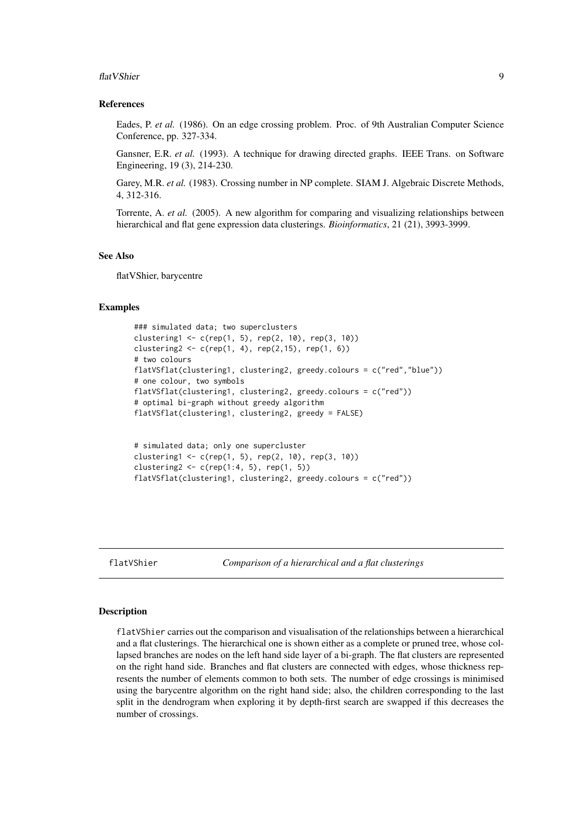#### <span id="page-8-0"></span>flat VShier 99 and 2008 and 2008 and 2008 and 2008 and 2008 and 2008 and 2008 and 2008 and 2008 and 2008 and 20

#### References

Eades, P. *et al.* (1986). On an edge crossing problem. Proc. of 9th Australian Computer Science Conference, pp. 327-334.

Gansner, E.R. *et al.* (1993). A technique for drawing directed graphs. IEEE Trans. on Software Engineering, 19 (3), 214-230.

Garey, M.R. *et al.* (1983). Crossing number in NP complete. SIAM J. Algebraic Discrete Methods, 4, 312-316.

Torrente, A. *et al.* (2005). A new algorithm for comparing and visualizing relationships between hierarchical and flat gene expression data clusterings. *Bioinformatics*, 21 (21), 3993-3999.

# See Also

flatVShier, barycentre

#### Examples

```
### simulated data; two superclusters
clustering1 <- c(rep(1, 5), rep(2, 10), rep(3, 10))
clustering2 <- c(rep(1, 4), rep(2,15), rep(1, 6))
# two colours
flatVSflat(clustering1, clustering2, greedy.colours = c("red","blue"))
# one colour, two symbols
flatVSflat(clustering1, clustering2, greedy.colours = c("red"))
# optimal bi-graph without greedy algorithm
flatVSflat(clustering1, clustering2, greedy = FALSE)
```

```
# simulated data; only one supercluster
clustering1 <- c(rep(1, 5), rep(2, 10), rep(3, 10))
clustering2 <- c(rep(1:4, 5), rep(1, 5))
flatVSflat(clustering1, clustering2, greedy.colours = c("red"))
```
flatVShier *Comparison of a hierarchical and a flat clusterings*

#### Description

flatVShier carries out the comparison and visualisation of the relationships between a hierarchical and a flat clusterings. The hierarchical one is shown either as a complete or pruned tree, whose collapsed branches are nodes on the left hand side layer of a bi-graph. The flat clusters are represented on the right hand side. Branches and flat clusters are connected with edges, whose thickness represents the number of elements common to both sets. The number of edge crossings is minimised using the barycentre algorithm on the right hand side; also, the children corresponding to the last split in the dendrogram when exploring it by depth-first search are swapped if this decreases the number of crossings.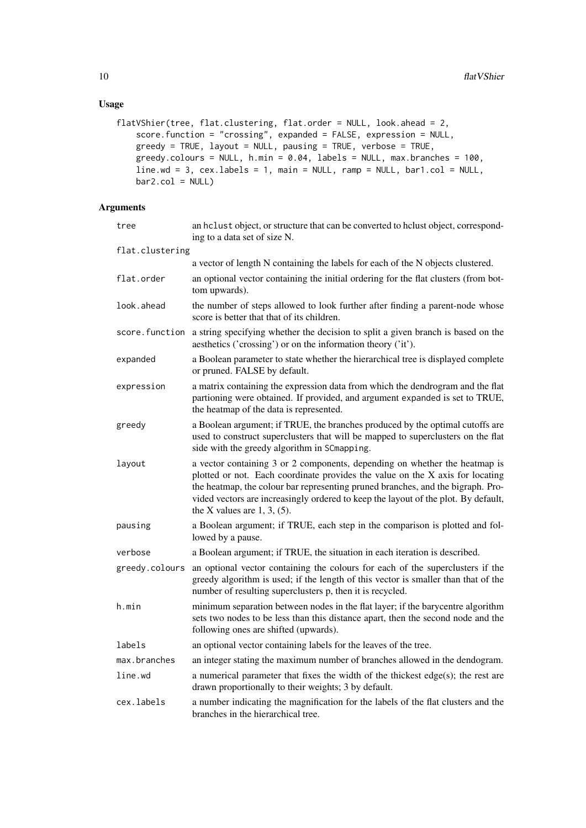# Usage

```
flatVShier(tree, flat.clustering, flat.order = NULL, look.ahead = 2,
   score.function = "crossing", expanded = FALSE, expression = NULL,
   greedy = TRUE, layout = NULL, pausing = TRUE, verbose = TRUE,
   greedy.colours = NULL, h.min = 0.04, labels = NULL, max.hranches = 100,
   line.wd = 3, cex.labels = 1, main = NULL, ramp = NULL, bar1.col = NULL,
   bar2.col = NULL
```

| tree            | an hclust object, or structure that can be converted to hclust object, correspond-<br>ing to a data set of size N.                                                                                                                                                                                                                                                     |
|-----------------|------------------------------------------------------------------------------------------------------------------------------------------------------------------------------------------------------------------------------------------------------------------------------------------------------------------------------------------------------------------------|
| flat.clustering |                                                                                                                                                                                                                                                                                                                                                                        |
|                 | a vector of length N containing the labels for each of the N objects clustered.                                                                                                                                                                                                                                                                                        |
| flat.order      | an optional vector containing the initial ordering for the flat clusters (from bot-<br>tom upwards).                                                                                                                                                                                                                                                                   |
| look.ahead      | the number of steps allowed to look further after finding a parent-node whose<br>score is better that that of its children.                                                                                                                                                                                                                                            |
| score.function  | a string specifying whether the decision to split a given branch is based on the<br>aesthetics ('crossing') or on the information theory ('it').                                                                                                                                                                                                                       |
| expanded        | a Boolean parameter to state whether the hierarchical tree is displayed complete<br>or pruned. FALSE by default.                                                                                                                                                                                                                                                       |
| expression      | a matrix containing the expression data from which the dendrogram and the flat<br>partioning were obtained. If provided, and argument expanded is set to TRUE,<br>the heatmap of the data is represented.                                                                                                                                                              |
| greedy          | a Boolean argument; if TRUE, the branches produced by the optimal cutoffs are<br>used to construct superclusters that will be mapped to superclusters on the flat<br>side with the greedy algorithm in SCmapping.                                                                                                                                                      |
| layout          | a vector containing 3 or 2 components, depending on whether the heatmap is<br>plotted or not. Each coordinate provides the value on the X axis for locating<br>the heatmap, the colour bar representing pruned branches, and the bigraph. Pro-<br>vided vectors are increasingly ordered to keep the layout of the plot. By default,<br>the X values are $1, 3, (5)$ . |
| pausing         | a Boolean argument; if TRUE, each step in the comparison is plotted and fol-<br>lowed by a pause.                                                                                                                                                                                                                                                                      |
| verbose         | a Boolean argument; if TRUE, the situation in each iteration is described.                                                                                                                                                                                                                                                                                             |
| greedy.colours  | an optional vector containing the colours for each of the superclusters if the<br>greedy algorithm is used; if the length of this vector is smaller than that of the<br>number of resulting superclusters p, then it is recycled.                                                                                                                                      |
| h.min           | minimum separation between nodes in the flat layer; if the barycentre algorithm<br>sets two nodes to be less than this distance apart, then the second node and the<br>following ones are shifted (upwards).                                                                                                                                                           |
| labels          | an optional vector containing labels for the leaves of the tree.                                                                                                                                                                                                                                                                                                       |
| max.branches    | an integer stating the maximum number of branches allowed in the dendogram.                                                                                                                                                                                                                                                                                            |
| line.wd         | a numerical parameter that fixes the width of the thickest edge(s); the rest are<br>drawn proportionally to their weights; 3 by default.                                                                                                                                                                                                                               |
| cex.labels      | a number indicating the magnification for the labels of the flat clusters and the<br>branches in the hierarchical tree.                                                                                                                                                                                                                                                |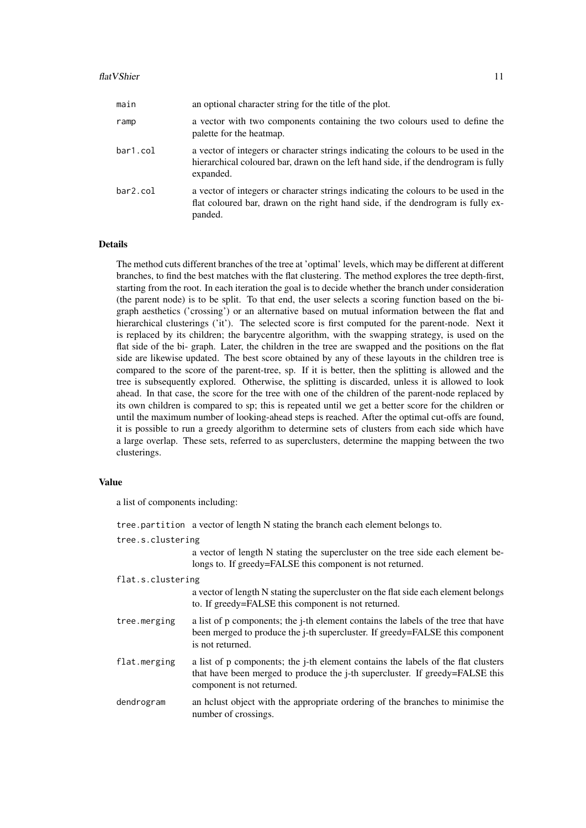#### flat VShier 11

| main     | an optional character string for the title of the plot.                                                                                                                               |
|----------|---------------------------------------------------------------------------------------------------------------------------------------------------------------------------------------|
| ramp     | a vector with two components containing the two colours used to define the<br>palette for the heatmap.                                                                                |
| bar1.col | a vector of integers or character strings indicating the colours to be used in the<br>hierarchical coloured bar, drawn on the left hand side, if the dendrogram is fully<br>expanded. |
| bar2.col | a vector of integers or character strings indicating the colours to be used in the<br>flat coloured bar, drawn on the right hand side, if the dendrogram is fully ex-                 |

# Details

The method cuts different branches of the tree at 'optimal' levels, which may be different at different branches, to find the best matches with the flat clustering. The method explores the tree depth-first, starting from the root. In each iteration the goal is to decide whether the branch under consideration (the parent node) is to be split. To that end, the user selects a scoring function based on the bigraph aesthetics ('crossing') or an alternative based on mutual information between the flat and hierarchical clusterings ('it'). The selected score is first computed for the parent-node. Next it is replaced by its children; the barycentre algorithm, with the swapping strategy, is used on the flat side of the bi- graph. Later, the children in the tree are swapped and the positions on the flat side are likewise updated. The best score obtained by any of these layouts in the children tree is compared to the score of the parent-tree, sp. If it is better, then the splitting is allowed and the tree is subsequently explored. Otherwise, the splitting is discarded, unless it is allowed to look ahead. In that case, the score for the tree with one of the children of the parent-node replaced by its own children is compared to sp; this is repeated until we get a better score for the children or until the maximum number of looking-ahead steps is reached. After the optimal cut-offs are found, it is possible to run a greedy algorithm to determine sets of clusters from each side which have a large overlap. These sets, referred to as superclusters, determine the mapping between the two clusterings.

# Value

a list of components including:

panded.

|                   | tree partition a vector of length N stating the branch each element belongs to.                                                                                                                 |
|-------------------|-------------------------------------------------------------------------------------------------------------------------------------------------------------------------------------------------|
| tree.s.clustering |                                                                                                                                                                                                 |
|                   | a vector of length N stating the supercluster on the tree side each element be-<br>longs to. If greedy=FALSE this component is not returned.                                                    |
| flat.s.clustering |                                                                                                                                                                                                 |
|                   | a vector of length N stating the supercluster on the flat side each element belongs<br>to. If greedy=FALSE this component is not returned.                                                      |
| tree.merging      | a list of p components; the j-th element contains the labels of the tree that have<br>been merged to produce the <i>j</i> -th supercluster. If greedy=FALSE this component<br>is not returned.  |
| flat.merging      | a list of p components; the j-th element contains the labels of the flat clusters<br>that have been merged to produce the j-th supercluster. If greedy=FALSE this<br>component is not returned. |
| dendrogram        | an helust object with the appropriate ordering of the branches to minimise the<br>number of crossings.                                                                                          |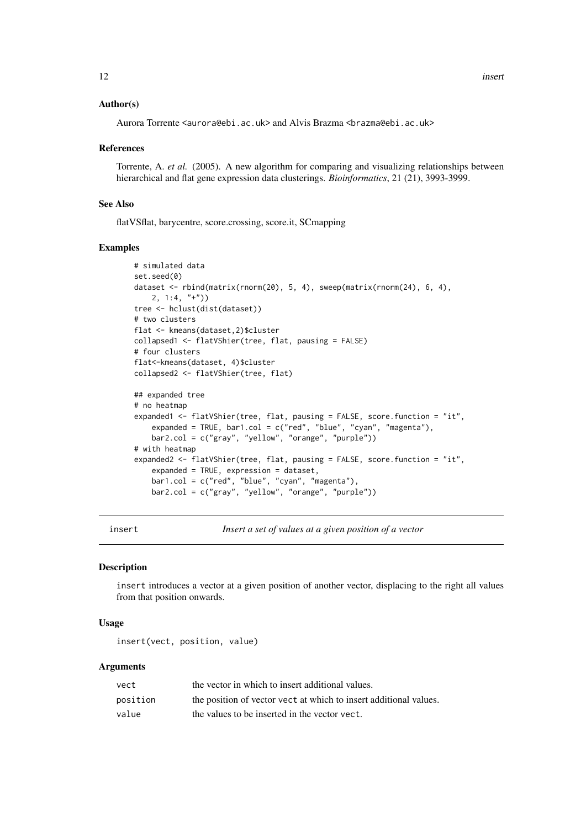# <span id="page-11-0"></span>Author(s)

Aurora Torrente <aurora@ebi.ac.uk> and Alvis Brazma <br/> <br/>brazma@ebi.ac.uk>

#### References

Torrente, A. *et al.* (2005). A new algorithm for comparing and visualizing relationships between hierarchical and flat gene expression data clusterings. *Bioinformatics*, 21 (21), 3993-3999.

#### See Also

flatVSflat, barycentre, score.crossing, score.it, SCmapping

#### Examples

```
# simulated data
set.seed(0)
dataset <- rbind(matrix(rnorm(20), 5, 4), sweep(matrix(rnorm(24), 6, 4),
   2, 1:4, "+")tree <- hclust(dist(dataset))
# two clusters
flat <- kmeans(dataset,2)$cluster
collapsed1 <- flatVShier(tree, flat, pausing = FALSE)
# four clusters
flat<-kmeans(dataset, 4)$cluster
collapsed2 <- flatVShier(tree, flat)
## expanded tree
# no heatmap
expanded1 <- flatVShier(tree, flat, pausing = FALSE, score.function = "it",
    expanded = TRUE, bar1.col = c("red", "blue", "cyan", "magenta"),bar2.col = c("gray", "yellow", "orange", "purple"))
# with heatmap
expanded2 <- flatVShier(tree, flat, pausing = FALSE, score.function = "it",
    expanded = TRUE, expression = dataset,
    bar1.col = c("red", "blue", "cyan", "magenta"),bar2.col = c("gray", "yellow", "orange", "purple"))
```
insert *Insert a set of values at a given position of a vector*

#### Description

insert introduces a vector at a given position of another vector, displacing to the right all values from that position onwards.

# Usage

insert(vect, position, value)

| vect     | the vector in which to insert additional values.                  |
|----------|-------------------------------------------------------------------|
| position | the position of vector vect at which to insert additional values. |
| value    | the values to be inserted in the vector vect.                     |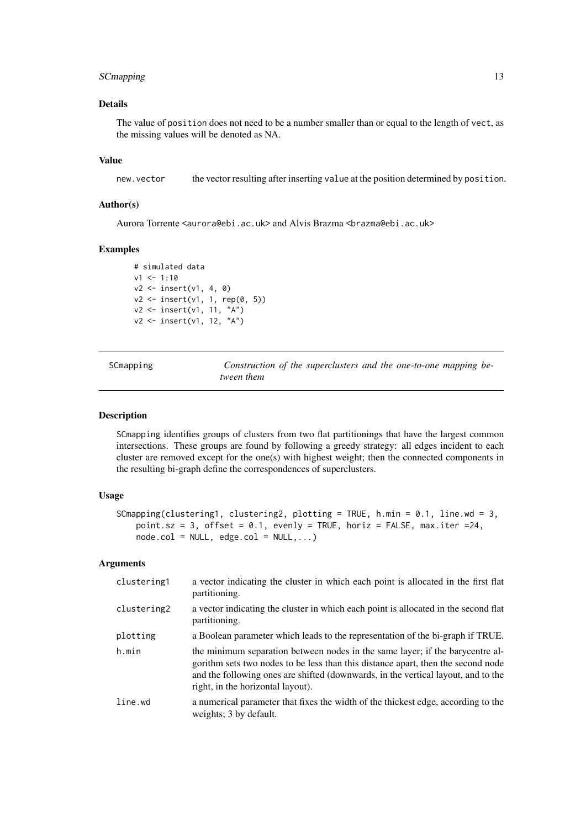#### <span id="page-12-0"></span>SCmapping 13

# Details

The value of position does not need to be a number smaller than or equal to the length of vect, as the missing values will be denoted as NA.

# Value

new.vector the vector resulting after inserting value at the position determined by position.

# Author(s)

Aurora Torrente <aurora@ebi.ac.uk> and Alvis Brazma <br/> <br/>brazma@ebi.ac.uk>

# Examples

```
# simulated data
v1 < -1:10v2 <- insert(v1, 4, 0)
v2 <- insert(v1, 1, rep(0, 5))
v2 <- insert(v1, 11, "A")
v2 <- insert(v1, 12, "A")
```

| SCmapping | Construction of the superclusters and the one-to-one mapping be- |
|-----------|------------------------------------------------------------------|
|           | tween them                                                       |

#### Description

SCmapping identifies groups of clusters from two flat partitionings that have the largest common intersections. These groups are found by following a greedy strategy: all edges incident to each cluster are removed except for the one(s) with highest weight; then the connected components in the resulting bi-graph define the correspondences of superclusters.

# Usage

```
SCmapping(clustering1, clustering2, plotting = TRUE, h.min = 0.1, line.wd = 3,
   point.sz = 3, offset = 0.1, evenly = TRUE, horiz = FALSE, max.iter = 24,
   node,col = NULL, edge,col = NULL, ...
```

| clustering1 | a vector indicating the cluster in which each point is allocated in the first flat<br>partitioning.                                                                                                                                                                                         |
|-------------|---------------------------------------------------------------------------------------------------------------------------------------------------------------------------------------------------------------------------------------------------------------------------------------------|
| clustering2 | a vector indicating the cluster in which each point is allocated in the second flat<br>partitioning.                                                                                                                                                                                        |
| plotting    | a Boolean parameter which leads to the representation of the bi-graph if TRUE.                                                                                                                                                                                                              |
| h.min       | the minimum separation between nodes in the same layer; if the barycentre al-<br>gorithm sets two nodes to be less than this distance apart, then the second node<br>and the following ones are shifted (downwards, in the vertical layout, and to the<br>right, in the horizontal layout). |
| line.wd     | a numerical parameter that fixes the width of the thickest edge, according to the<br>weights; 3 by default.                                                                                                                                                                                 |
|             |                                                                                                                                                                                                                                                                                             |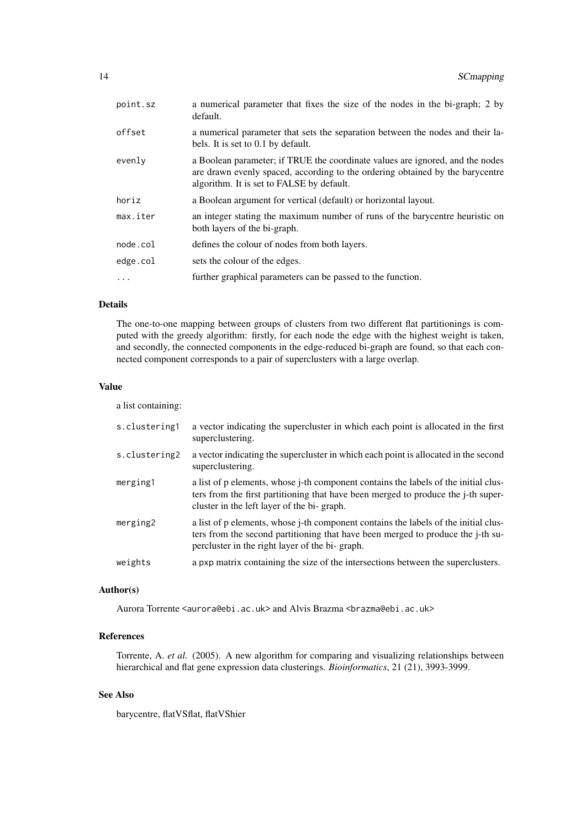| point.sz | a numerical parameter that fixes the size of the nodes in the bi-graph; 2 by<br>default.                                                                                                                    |
|----------|-------------------------------------------------------------------------------------------------------------------------------------------------------------------------------------------------------------|
| offset   | a numerical parameter that sets the separation between the nodes and their la-<br>bels. It is set to 0.1 by default.                                                                                        |
| evenly   | a Boolean parameter; if TRUE the coordinate values are ignored, and the nodes<br>are drawn evenly spaced, according to the ordering obtained by the barycentre<br>algorithm. It is set to FALSE by default. |
| horiz    | a Boolean argument for vertical (default) or horizontal layout.                                                                                                                                             |
| max.iter | an integer stating the maximum number of runs of the barycentre heuristic on<br>both layers of the bi-graph.                                                                                                |
| node.col | defines the colour of nodes from both layers.                                                                                                                                                               |
| edge.col | sets the colour of the edges.                                                                                                                                                                               |
|          | further graphical parameters can be passed to the function.                                                                                                                                                 |

# Details

The one-to-one mapping between groups of clusters from two different flat partitionings is computed with the greedy algorithm: firstly, for each node the edge with the highest weight is taken, and secondly, the connected components in the edge-reduced bi-graph are found, so that each connected component corresponds to a pair of superclusters with a large overlap.

#### Value

a list containing:

| s.clustering1 | a vector indicating the supercluster in which each point is allocated in the first<br>superclustering.                                                                                                                   |
|---------------|--------------------------------------------------------------------------------------------------------------------------------------------------------------------------------------------------------------------------|
| s.clustering2 | a vector indicating the supercluster in which each point is allocated in the second<br>superclustering.                                                                                                                  |
| merging1      | a list of p elements, whose j-th component contains the labels of the initial clus-<br>ters from the first partitioning that have been merged to produce the j-th super-<br>cluster in the left layer of the bi-graph.   |
| merging2      | a list of p elements, whose j-th component contains the labels of the initial clus-<br>ters from the second partitioning that have been merged to produce the j-th su-<br>percluster in the right layer of the bi-graph. |
| weights       | a pxp matrix containing the size of the intersections between the superclusters.                                                                                                                                         |

# Author(s)

Aurora Torrente <aurora@ebi.ac.uk> and Alvis Brazma <br/> <br/>brazma@ebi.ac.uk>

#### References

Torrente, A. *et al.* (2005). A new algorithm for comparing and visualizing relationships between hierarchical and flat gene expression data clusterings. *Bioinformatics*, 21 (21), 3993-3999.

# See Also

barycentre, flatVSflat, flatVShier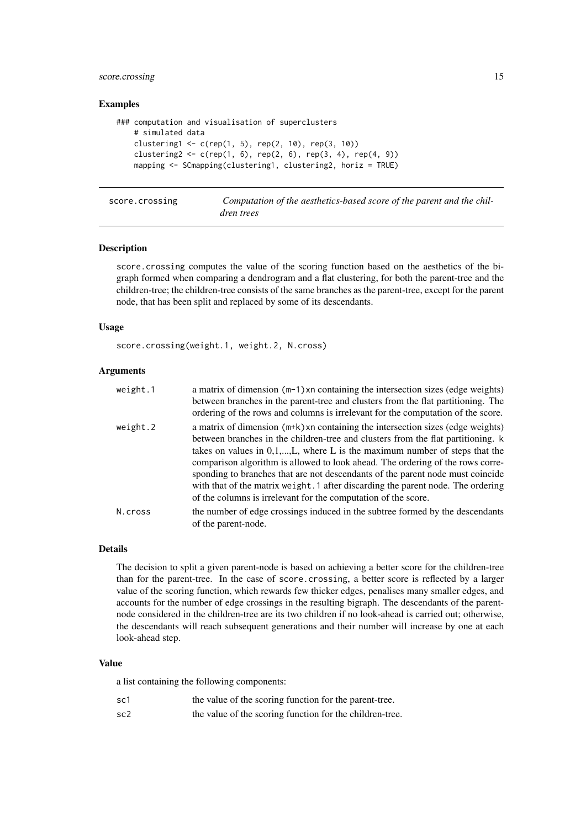#### <span id="page-14-0"></span>score.crossing 15

#### Examples

```
### computation and visualisation of superclusters
    # simulated data
   clustering1 <- c(rep(1, 5), rep(2, 10), rep(3, 10))
   clustering2 <- c(rep(1, 6), rep(2, 6), rep(3, 4), rep(4, 9))
   mapping <- SCmapping(clustering1, clustering2, horiz = TRUE)
```
score.crossing *Computation of the aesthetics-based score of the parent and the children trees*

#### Description

score.crossing computes the value of the scoring function based on the aesthetics of the bigraph formed when comparing a dendrogram and a flat clustering, for both the parent-tree and the children-tree; the children-tree consists of the same branches as the parent-tree, except for the parent node, that has been split and replaced by some of its descendants.

#### Usage

score.crossing(weight.1, weight.2, N.cross)

# Arguments

| weight.1 | a matrix of dimension (m-1) xn containing the intersection sizes (edge weights)  |
|----------|----------------------------------------------------------------------------------|
|          | between branches in the parent-tree and clusters from the flat partitioning. The |
|          | ordering of the rows and columns is irrelevant for the computation of the score. |
| weight.2 | a matrix of dimension (m+k) xn containing the intersection sizes (edge weights)  |
|          | between branches in the children-tree and clusters from the flat partitioning. k |
|          | takes on values in $0,1,,L$ , where L is the maximum number of steps that the    |
|          | comparison algorithm is allowed to look ahead. The ordering of the rows corre-   |
|          | sponding to branches that are not descendants of the parent node must coincide   |
|          | with that of the matrix weight. 1 after discarding the parent node. The ordering |
|          | of the columns is irrelevant for the computation of the score.                   |
| N.cross  | the number of edge crossings induced in the subtree formed by the descendants    |
|          | of the parent-node.                                                              |

#### Details

The decision to split a given parent-node is based on achieving a better score for the children-tree than for the parent-tree. In the case of score.crossing, a better score is reflected by a larger value of the scoring function, which rewards few thicker edges, penalises many smaller edges, and accounts for the number of edge crossings in the resulting bigraph. The descendants of the parentnode considered in the children-tree are its two children if no look-ahead is carried out; otherwise, the descendants will reach subsequent generations and their number will increase by one at each look-ahead step.

#### Value

a list containing the following components:

| sc1             | the value of the scoring function for the parent-tree.   |
|-----------------|----------------------------------------------------------|
| sc <sub>2</sub> | the value of the scoring function for the children-tree. |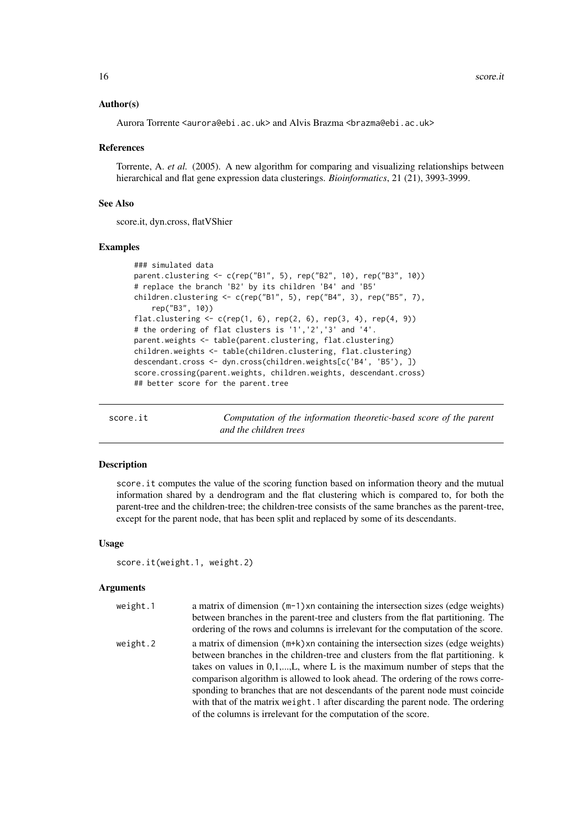#### Author(s)

Aurora Torrente <aurora@ebi.ac.uk> and Alvis Brazma <br/> <br/>brazma@ebi.ac.uk>

#### References

Torrente, A. *et al.* (2005). A new algorithm for comparing and visualizing relationships between hierarchical and flat gene expression data clusterings. *Bioinformatics*, 21 (21), 3993-3999.

# See Also

score.it, dyn.cross, flatVShier

#### Examples

```
### simulated data
parent.clustering <- c(rep("B1", 5), rep("B2", 10), rep("B3", 10))
# replace the branch 'B2' by its children 'B4' and 'B5'
children.clustering <- c(rep("B1", 5), rep("B4", 3), rep("B5", 7),
    rep("B3", 10))
flat.clustering \leq c (rep(1, 6), rep(2, 6), rep(3, 4), rep(4, 9))
# the ordering of flat clusters is '1','2','3' and '4'.
parent.weights <- table(parent.clustering, flat.clustering)
children.weights <- table(children.clustering, flat.clustering)
descendant.cross <- dyn.cross(children.weights[c('B4', 'B5'), ])
score.crossing(parent.weights, children.weights, descendant.cross)
## better score for the parent.tree
```
score.it *Computation of the information theoretic-based score of the parent and the children trees*

#### Description

score.it computes the value of the scoring function based on information theory and the mutual information shared by a dendrogram and the flat clustering which is compared to, for both the parent-tree and the children-tree; the children-tree consists of the same branches as the parent-tree, except for the parent node, that has been split and replaced by some of its descendants.

#### Usage

```
score.it(weight.1, weight.2)
```

| weight.1 | a matrix of dimension $(m-1)$ xn containing the intersection sizes (edge weights)<br>between branches in the parent-tree and clusters from the flat partitioning. The<br>ordering of the rows and columns is irrelevant for the computation of the score.                                                                                                                                                                                                                                                                                                                        |
|----------|----------------------------------------------------------------------------------------------------------------------------------------------------------------------------------------------------------------------------------------------------------------------------------------------------------------------------------------------------------------------------------------------------------------------------------------------------------------------------------------------------------------------------------------------------------------------------------|
| weight.2 | a matrix of dimension $(m+k)$ xn containing the intersection sizes (edge weights)<br>between branches in the children-tree and clusters from the flat partitioning. k<br>takes on values in $0,1,,L$ , where L is the maximum number of steps that the<br>comparison algorithm is allowed to look ahead. The ordering of the rows corre-<br>sponding to branches that are not descendants of the parent node must coincide<br>with that of the matrix weight. 1 after discarding the parent node. The ordering<br>of the columns is irrelevant for the computation of the score. |

<span id="page-15-0"></span>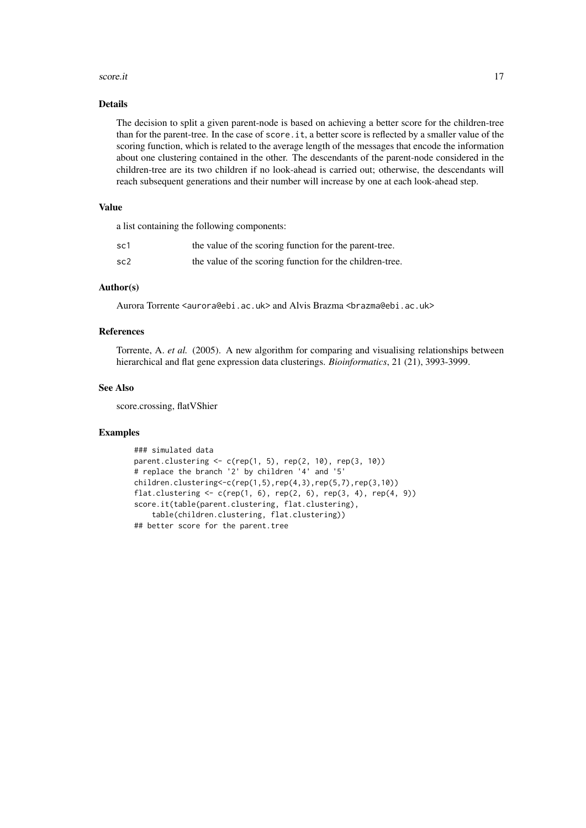#### score.it and the second set of the second second second set of the second second second second second second second second second second second second second second second second second second second second second second s

#### Details

The decision to split a given parent-node is based on achieving a better score for the children-tree than for the parent-tree. In the case of score.it, a better score is reflected by a smaller value of the scoring function, which is related to the average length of the messages that encode the information about one clustering contained in the other. The descendants of the parent-node considered in the children-tree are its two children if no look-ahead is carried out; otherwise, the descendants will reach subsequent generations and their number will increase by one at each look-ahead step.

# Value

a list containing the following components:

| sc1             | the value of the scoring function for the parent-tree.   |
|-----------------|----------------------------------------------------------|
| sc <sub>2</sub> | the value of the scoring function for the children-tree. |

# Author(s)

Aurora Torrente <aurora@ebi.ac.uk> and Alvis Brazma <br/> <br/>brazma@ebi.ac.uk>

# References

Torrente, A. *et al.* (2005). A new algorithm for comparing and visualising relationships between hierarchical and flat gene expression data clusterings. *Bioinformatics*, 21 (21), 3993-3999.

#### See Also

score.crossing, flatVShier

#### Examples

```
### simulated data
parent.clustering <- c(rep(1, 5), rep(2, 10), rep(3, 10))
# replace the branch '2' by children '4' and '5'
children.clustering \langle -c(\text{rep}(1,5),\text{rep}(4,3),\text{rep}(5,7),\text{rep}(3,10)) \rangleflat.clustering \leq c (rep(1, 6), rep(2, 6), rep(3, 4), rep(4, 9))
score.it(table(parent.clustering, flat.clustering),
    table(children.clustering, flat.clustering))
## better score for the parent.tree
```